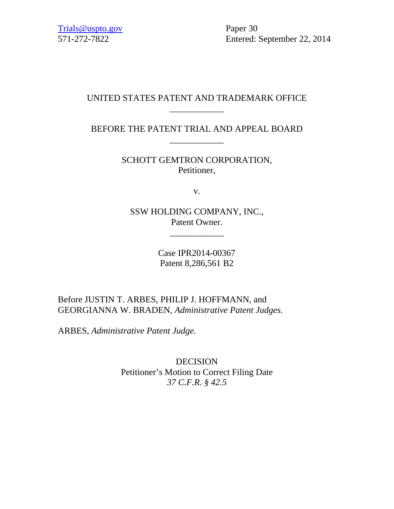571-272-7822 Entered: September 22, 2014

## UNITED STATES PATENT AND TRADEMARK OFFICE \_\_\_\_\_\_\_\_\_\_\_\_

BEFORE THE PATENT TRIAL AND APPEAL BOARD \_\_\_\_\_\_\_\_\_\_\_\_

> SCHOTT GEMTRON CORPORATION, Petitioner,

> > v.

SSW HOLDING COMPANY, INC., Patent Owner.

\_\_\_\_\_\_\_\_\_\_\_\_

Case IPR2014-00367 Patent 8,286,561 B2

Before JUSTIN T. ARBES, PHILIP J. HOFFMANN, and GEORGIANNA W. BRADEN, *Administrative Patent Judges.* 

ARBES, *Administrative Patent Judge.* 

DECISION Petitioner's Motion to Correct Filing Date *37 C.F.R. § 42.5*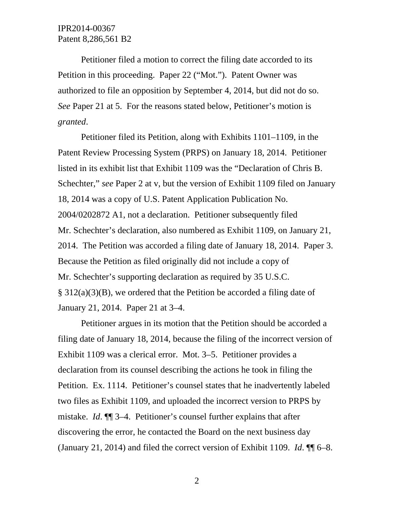Petitioner filed a motion to correct the filing date accorded to its Petition in this proceeding. Paper 22 ("Mot."). Patent Owner was authorized to file an opposition by September 4, 2014, but did not do so. *See* Paper 21 at 5. For the reasons stated below, Petitioner's motion is *granted*.

Petitioner filed its Petition, along with Exhibits 1101–1109, in the Patent Review Processing System (PRPS) on January 18, 2014. Petitioner listed in its exhibit list that Exhibit 1109 was the "Declaration of Chris B. Schechter," *see* Paper 2 at v, but the version of Exhibit 1109 filed on January 18, 2014 was a copy of U.S. Patent Application Publication No. 2004/0202872 A1, not a declaration. Petitioner subsequently filed Mr. Schechter's declaration, also numbered as Exhibit 1109, on January 21, 2014. The Petition was accorded a filing date of January 18, 2014. Paper 3. Because the Petition as filed originally did not include a copy of Mr. Schechter's supporting declaration as required by 35 U.S.C. § 312(a)(3)(B), we ordered that the Petition be accorded a filing date of January 21, 2014. Paper 21 at 3–4.

Petitioner argues in its motion that the Petition should be accorded a filing date of January 18, 2014, because the filing of the incorrect version of Exhibit 1109 was a clerical error. Mot. 3–5. Petitioner provides a declaration from its counsel describing the actions he took in filing the Petition. Ex. 1114. Petitioner's counsel states that he inadvertently labeled two files as Exhibit 1109, and uploaded the incorrect version to PRPS by mistake. *Id*. ¶¶ 3–4. Petitioner's counsel further explains that after discovering the error, he contacted the Board on the next business day (January 21, 2014) and filed the correct version of Exhibit 1109. *Id*. ¶¶ 6–8.

2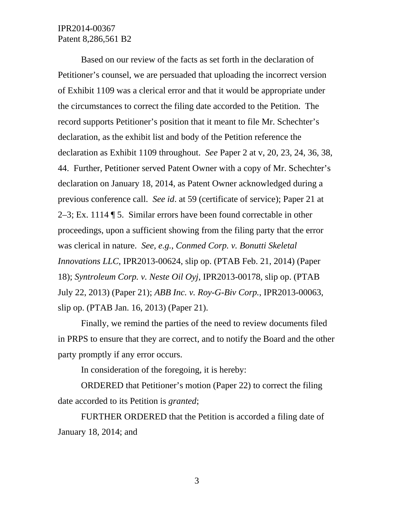## IPR2014-00367 Patent 8,286,561 B2

Based on our review of the facts as set forth in the declaration of Petitioner's counsel, we are persuaded that uploading the incorrect version of Exhibit 1109 was a clerical error and that it would be appropriate under the circumstances to correct the filing date accorded to the Petition. The record supports Petitioner's position that it meant to file Mr. Schechter's declaration, as the exhibit list and body of the Petition reference the declaration as Exhibit 1109 throughout. *See* Paper 2 at v, 20, 23, 24, 36, 38, 44. Further, Petitioner served Patent Owner with a copy of Mr. Schechter's declaration on January 18, 2014, as Patent Owner acknowledged during a previous conference call. *See id*. at 59 (certificate of service); Paper 21 at 2–3; Ex. 1114 ¶ 5. Similar errors have been found correctable in other proceedings, upon a sufficient showing from the filing party that the error was clerical in nature. *See, e.g.*, *Conmed Corp. v. Bonutti Skeletal Innovations LLC*, IPR2013-00624, slip op. (PTAB Feb. 21, 2014) (Paper 18); *Syntroleum Corp. v. Neste Oil Oyj*, IPR2013-00178, slip op. (PTAB July 22, 2013) (Paper 21); *ABB Inc. v. Roy-G-Biv Corp.*, IPR2013-00063, slip op. (PTAB Jan. 16, 2013) (Paper 21).

Finally, we remind the parties of the need to review documents filed in PRPS to ensure that they are correct, and to notify the Board and the other party promptly if any error occurs.

In consideration of the foregoing, it is hereby:

ORDERED that Petitioner's motion (Paper 22) to correct the filing date accorded to its Petition is *granted*;

FURTHER ORDERED that the Petition is accorded a filing date of January 18, 2014; and

3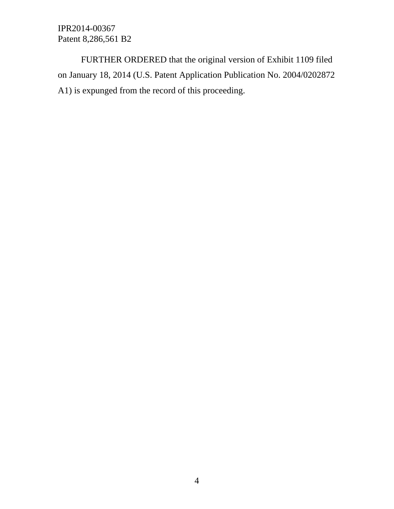IPR2014-00367 Patent 8,286,561 B2

FURTHER ORDERED that the original version of Exhibit 1109 filed on January 18, 2014 (U.S. Patent Application Publication No. 2004/0202872 A1) is expunged from the record of this proceeding.